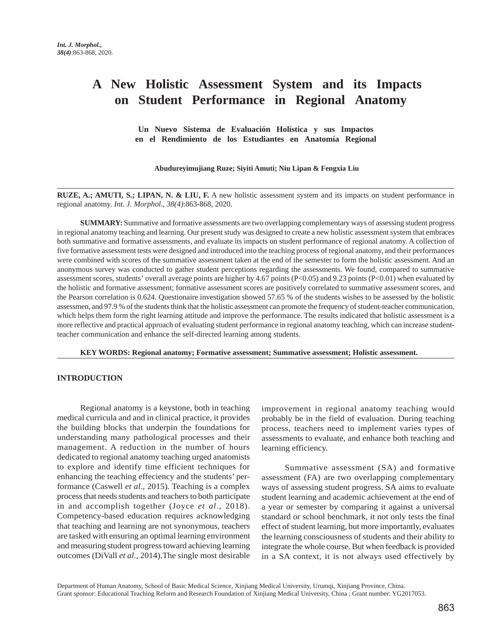# **A New Holistic Assessment System and its Impacts on Student Performance in Regional Anatomy**

 **Un Nuevo Sistema de Evaluación Holística y sus Impactos en el Rendimiento de los Estudiantes en Anatomía Regional** 

## **Abudureyimujiang Ruze; Siyiti Amuti; Niu Lipan & Fengxia Liu**

**RUZE, A.; AMUTI, S.; LIPAN, N. & LIU, F.** A new holistic assessment system and its impacts on student performance in regional anatomy. *Int. J. Morphol., 38(4)*:863-868, 2020.

**SUMMARY:** Summative and formative assessments are two overlapping complementary ways of assessing student progress in regional anatomy teaching and learning. Our present study was designed to create a new holistic assessment system that embraces both summative and formative assessments, and evaluate its impacts on student performance of regional anatomy. A collection of five formative assessment tests were designed and introduced into the teaching process of regional anatomy, and their performances were combined with scores of the summative assessment taken at the end of the semester to form the holistic assessment. And an anonymous survey was conducted to gather student perceptions regarding the assessments. We found, compared to summative assessment scores, students' overall average points are higher by 4.67 points (P<0.05) and 9.23 points (P<0.01) when evaluated by the holistic and formative assessment; formative assessment scores are positively correlated to summative assessment scores, and the Pearson correlation is 0.624. Questionaire investigation showed 57.65 % of the students wishes to be assessed by the holistic assessmen, and 97.9 % of the students think that the holistic assessment can promote the frequency of student-teacher communication, which helps them form the right learning attitude and improve the performance. The results indicated that holistic assessment is a more reflective and practical approach of evaluating student performance in regional anatomy teaching, which can increase studentteacher communication and enhance the self-directed learning among students.

**KEY WORDS: Regional anatomy; Formative assessment; Summative assessment; Holistic assessment.**

## **INTRODUCTION**

Regional anatomy is a keystone, both in teaching medical curricula and and in clinical practice, it provides the building blocks that underpin the foundations for understanding many pathological processes and their management. A reduction in the number of hours dedicated to regional anatomy teaching urged anatomists to explore and identify time efficient techniques for enhancing the teaching effeciency and the students' performance (Caswell *et al*., 2015). Teaching is a complex process that needs students and teachers to both participate in and accomplish together (Joyce *et al*., 2018). Competency-based education requires acknowledging that teaching and learning are not synonymous, teachers are tasked with ensuring an optimal learning environment and measuring student progress toward achieving learning outcomes (DiVall *et al*., 2014).The single most desirable improvement in regional anatomy teaching would probably be in the field of evaluation. During teaching process, teachers need to implement varies types of assessments to evaluate, and enhance both teaching and learning efficiency.

Summative assessment (SA) and formative assessment (FA) are two overlapping complementary ways of assessing student progress. SA aims to evaluate student learning and academic achievement at the end of a year or semester by comparing it against a universal standard or school benchmark, it not only tests the final effect of student learning, but more importantly, evaluates the learning consciousness of students and their ability to integrate the whole course. But when feedback is provided in a SA context, it is not always used effectively by

Department of Human Anatomy, School of Basic Medical Science, Xinjiang Medical University, Urumqi, Xinjiang Province, China. Grant sponsor: Educational Teaching Reform and Research Foundation of Xinjiang Medical University, China ; Grant number: YG2017053.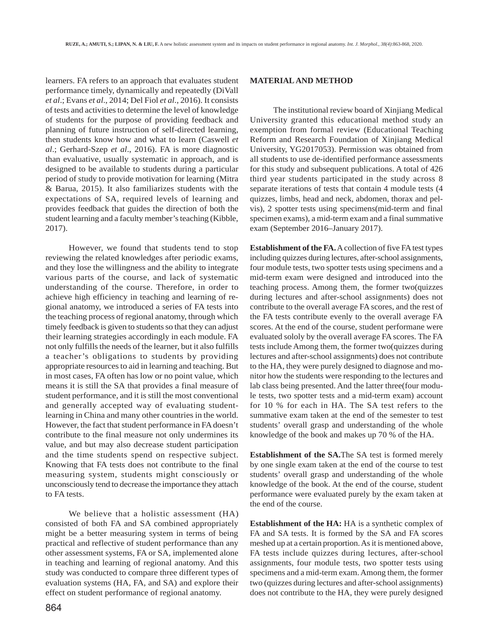learners. FA refers to an approach that evaluates student performance timely, dynamically and repeatedly (DiVall *et al*.; Evans *et al*., 2014; Del Fiol *et al*., 2016). It consists of tests and activities to determine the level of knowledge of students for the purpose of providing feedback and planning of future instruction of self-directed learning, then students know how and what to learn (Caswell *et al*.; Gerhard-Szep *et al*., 2016). FA is more diagnostic than evaluative, usually systematic in approach, and is designed to be available to students during a particular period of study to provide motivation for learning (Mitra & Barua, 2015). It also familiarizes students with the expectations of SA, required levels of learning and provides feedback that guides the direction of both the student learning and a faculty member's teaching (Kibble, 2017).

However, we found that students tend to stop reviewing the related knowledges after periodic exams, and they lose the willingness and the ability to integrate various parts of the course, and lack of systematic understanding of the course. Therefore, in order to achieve high efficiency in teaching and learning of regional anatomy, we introduced a series of FA tests into the teaching process of regional anatomy, through which timely feedback is given to students so that they can adjust their learning strategies accordingly in each module. FA not only fulfills the needs of the learner, but it also fulfills a teacher's obligations to students by providing appropriate resources to aid in learning and teaching. But in most cases, FA often has low or no point value, which means it is still the SA that provides a final measure of student performance, and it is still the most conventional and generally accepted way of evaluating studentlearning in China and many other countries in the world. However, the fact that student performance in FA doesn't contribute to the final measure not only undermines its value, and but may also decrease student participation and the time students spend on respective subject. Knowing that FA tests does not contribute to the final measuring system, students might consciously or unconsciously tend to decrease the importance they attach to FA tests.

We believe that a holistic assessment (HA) consisted of both FA and SA combined appropriately might be a better measuring system in terms of being practical and reflective of student performance than any other assessment systems, FA or SA, implemented alone in teaching and learning of regional anatomy. And this study was conducted to compare three different types of evaluation systems (HA, FA, and SA) and explore their effect on student performance of regional anatomy.

# **MATERIAL AND METHOD**

The institutional review board of Xinjiang Medical University granted this educational method study an exemption from formal review (Educational Teaching Reform and Research Foundation of Xinjiang Medical University, YG2017053). Permission was obtained from all students to use de-identified performance assessments for this study and subsequent publications. A total of 426 third year students participated in the study across 8 separate iterations of tests that contain 4 module tests (4 quizzes, limbs, head and neck, abdomen, thorax and pelvis), 2 spotter tests using specimens(mid-term and final specimen exams), a mid-term exam and a final summative exam (September 2016–January 2017).

**Establishment of the FA.** A collection of five FA test types including quizzes during lectures, after-school assignments, four module tests, two spotter tests using specimens and a mid-term exam were designed and introduced into the teaching process. Among them, the former two(quizzes during lectures and after-school assignments) does not contribute to the overall average FA scores, and the rest of the FA tests contribute evenly to the overall average FA scores. At the end of the course, student performane were evaluated sololy by the overall average FA scores. The FA tests include Among them, the former two(quizzes during lectures and after-school assignments) does not contribute to the HA, they were purely designed to diagnose and monitor how the students were responding to the lectures and lab class being presented. And the latter three(four module tests, two spotter tests and a mid-term exam) account for 10 % for each in HA. The SA test refers to the summative exam taken at the end of the semester to test students' overall grasp and understanding of the whole knowledge of the book and makes up 70 % of the HA.

**Establishment of the SA.**The SA test is formed merely by one single exam taken at the end of the course to test students' overall grasp and understanding of the whole knowledge of the book. At the end of the course, student performance were evaluated purely by the exam taken at the end of the course.

**Establishment of the HA:** HA is a synthetic complex of FA and SA tests. It is formed by the SA and FA scores meshed up at a certain proportion. As it is mentioned above, FA tests include quizzes during lectures, after-school assignments, four module tests, two spotter tests using specimens and a mid-term exam. Among them, the former two (quizzes during lectures and after-school assignments) does not contribute to the HA, they were purely designed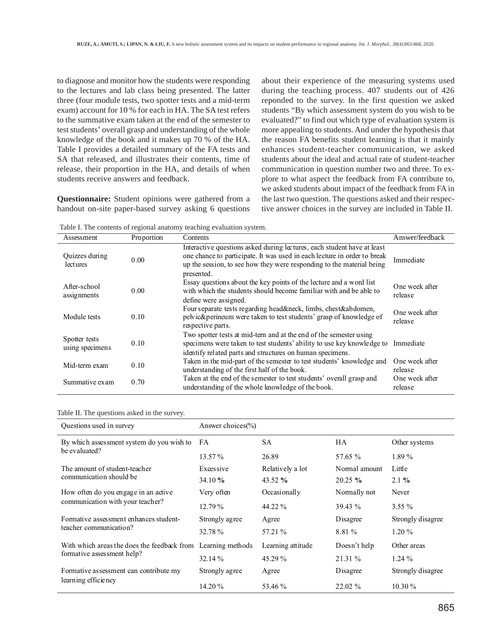to diagnose and monitor how the students were responding to the lectures and lab class being presented. The latter three (four module tests, two spotter tests and a mid-term exam) account for 10 % for each in HA. The SA test refers to the summative exam taken at the end of the semester to test students' overall grasp and understanding of the whole knowledge of the book and it makes up 70 % of the HA. Table I provides a detailed summary of the FA tests and SA that released, and illustrates their contents, time of release, their proportion in the HA, and details of when students receive answers and feedback.

**Questionnaire:** Student opinions were gathered from a handout on-site paper-based survey asking 6 questions about their experience of the measuring systems used during the teaching process. 407 students out of 426 reponded to the survey. In the first question we asked students "By which assessment system do you wish to be evaluated?" to find out which type of evaluation system is more appealing to students. And under the hypothesis that the reason FA benefits student learning is that it mainly enhances student-teacher communication, we asked students about the ideal and actual rate of student-teacher communication in question number two and three. To explore to what aspect the feedback from FA contribute to, we asked students about impact of the feedback from FA in the last two question. The questions asked and their respective answer choices in the survey are included in Table II.

Table I. The contents of regional anatomy teaching evaluation system.

| Assessment                       | Proportion | Contents                                                                                                                                                                                                                                   | Answer/feedback           |
|----------------------------------|------------|--------------------------------------------------------------------------------------------------------------------------------------------------------------------------------------------------------------------------------------------|---------------------------|
| Quizzes during<br>lectures       | 0.00       | Interactive questions asked during lectures, each student have at least<br>one chance to participate. It was used in each lecture in order to break<br>up the session, to see how they were responding to the material being<br>presented. | Immediate                 |
| After-school<br>assignments      | 0.00       | Essay questions about the key points of the lecture and a word list<br>with which the students should become familiar with and be able to<br>define were assigned.                                                                         | One week after<br>release |
| Module tests                     | 0.10       | Four separate tests regarding head & neck, limbs, chest & abdomen,<br>pelvic&perineum were taken to test students' grasp of knowledge of<br>respective parts.                                                                              | One week after<br>release |
| Spotter tests<br>using specimens | 0.10       | Two spotter tests at mid-tern and at the end of the semester using<br>specimens were taken to test students' ability to use key knowledge to<br>identify related parts and structures on human specimens.                                  | Immediate                 |
| Mid-term exam                    | 0.10       | Taken in the mid-part of the semester to test students' knowledge and<br>understanding of the first half of the book.                                                                                                                      | One week after<br>release |
| Summative exam                   | 0.70       | Taken at the end of the semester to test students' overall grasp and<br>understanding of the whole knowledge of the book.                                                                                                                  | One week after<br>release |

#### Table II. The questions asked in the survey.

| Questions used in survey                     | Answer choices $\frac{6}{6}$ |                   |               |                   |
|----------------------------------------------|------------------------------|-------------------|---------------|-------------------|
| By which assessment system do you wish to FA |                              | SА                | HA            | Other systems     |
| be evaluated?                                | $13.57\%$                    | 26.89             | 57.65 %       | $1.89\%$          |
| The amount of student-teacher                | Excessive                    | Relatively a lot  | Normal amount | Little            |
| communication should be                      | $34.10 \%$                   | 43.52 $%$         | $20.25 \%$    | $2.1 \%$          |
| How often do you engage in an active         | Very often                   | Occasionally      | Normally not  | Never             |
| communication with your teacher?             | $12.79\%$                    | 44.22 %           | $39.43\%$     | $3.55\%$          |
| Formative assessment enhances student-       | Strongly agree               | Agree             | Disagree      | Strongly disagree |
| teacher communication?                       | 32.78 %                      | 57.21 %           | 8.81 %        | $1.20 \%$         |
| With which areas the does the feedback from  | Learning methods             | Learning attitude | Doesn't help  | Other areas       |
| formative assessment help?                   | 32.14%                       | 45.29 %           | 21.31 %       | $1.24\%$          |
| Formative assessment can contribute my       | Strongly agree               | Agree             | Disagree      | Strongly disagree |
| learning efficiency                          | $14.20\%$                    | 53.46 %           | 22.02 %       | $10.30\%$         |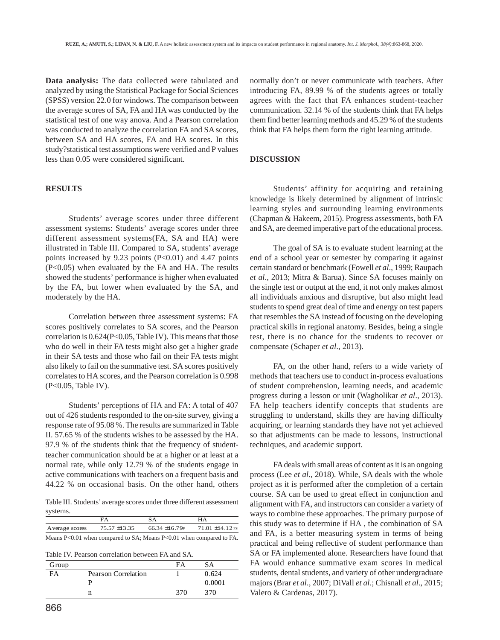**Data analysis:** The data collected were tabulated and analyzed by using the Statistical Package for Social Sciences (SPSS) version 22.0 for windows. The comparison between the average scores of SA, FA and HA was conducted by the statistical test of one way anova. And a Pearson correlation was conducted to analyze the correlation FA and SA scores, between SA and HA scores, FA and HA scores. In this study?statistical test assumptions were verified and P values less than 0.05 were considered significant.

# **RESULTS**

Students' average scores under three different assessment systems: Students' average scores under three different assessment systems(FA, SA and HA) were illustrated in Table III. Compared to SA, students' average points increased by 9.23 points  $(P<0.01)$  and 4.47 points (P<0.05) when evaluated by the FA and HA. The results showed the students' performance is higher when evaluated by the FA, but lower when evaluated by the SA, and moderately by the HA.

Correlation between three assessment systems: FA scores positively correlates to SA scores, and the Pearson correlation is 0.624(P<0.05, Table IV). This means that those who do well in their FA tests might also get a higher grade in their SA tests and those who fail on their FA tests might also likely to fail on the summative test. SA scores positively correlates to HA scores, and the Pearson correlation is 0.998 (P<0.05, Table IV).

Students' perceptions of HA and FA: A total of 407 out of 426 students responded to the on-site survey, giving a response rate of 95.08 %. The results are summarized in Table II. 57.65 % of the students wishes to be assessed by the HA. 97.9 % of the students think that the frequency of studentteacher communication should be at a higher or at least at a normal rate, while only 12.79 % of the students engage in active communications with teachers on a frequent basis and 44.22 % on occasional basis. On the other hand, others

Table III. Students' average scores under three different assessment systems.

|                | FА                | S A                                                                           | HA                 |
|----------------|-------------------|-------------------------------------------------------------------------------|--------------------|
| Average scores | $75.57 \pm 13.35$ | $66.34 + 16.79$ F                                                             | $71.01 + 14.12$ FS |
|                |                   | Means $P < 0.01$ when compared to $SA$ Means $P < 0.01$ when compared to $FA$ |                    |

Table IV. Pearson correlation between FA and SA.

| Group     |                     | FA  | SА     |
|-----------|---------------------|-----|--------|
| <b>FA</b> | Pearson Correlation |     | 0.624  |
|           |                     |     | 0.0001 |
|           | n                   | 370 | 370    |

normally don't or never communicate with teachers. After introducing FA, 89.99 % of the students agrees or totally agrees with the fact that FA enhances student-teacher communication. 32.14 % of the students think that FA helps them find better learning methods and 45.29 % of the students think that FA helps them form the right learning attitude.

# **DISCUSSION**

Students' affinity for acquiring and retaining knowledge is likely determined by alignment of intrinsic learning styles and surrounding learning environments (Chapman & Hakeem, 2015). Progress assessments, both FA and SA, are deemed imperative part of the educational process.

The goal of SA is to evaluate student learning at the end of a school year or semester by comparing it against certain standard or benchmark (Fowell *et al*., 1999; Raupach *et al*., 2013; Mitra & Barua). Since SA focuses mainly on the single test or output at the end, it not only makes almost all individuals anxious and disruptive, but also might lead students to spend great deal of time and energy on test papers that resembles the SA instead of focusing on the developing practical skills in regional anatomy. Besides, being a single test, there is no chance for the students to recover or compensate (Schaper *et al*., 2013).

FA, on the other hand, refers to a wide variety of methods that teachers use to conduct in-process evaluations of student comprehension, learning needs, and academic progress during a lesson or unit (Wagholikar *et al*., 2013). FA help teachers identify concepts that students are struggling to understand, skills they are having difficulty acquiring, or learning standards they have not yet achieved so that adjustments can be made to lessons, instructional techniques, and academic support.

FA deals with small areas of content as it is an ongoing process (Lee *et al*., 2018). While, SA deals with the whole project as it is performed after the completion of a certain course. SA can be used to great effect in conjunction and alignment with FA, and instructors can consider a variety of ways to combine these approaches. The primary purpose of this study was to determine if HA , the combination of SA and FA, is a better measuring system in terms of being practical and being reflective of student performance than SA or FA implemented alone. Researchers have found that FA would enhance summative exam scores in medical students, dental students, and variety of other undergraduate majors (Brar *et al*., 2007; DiVall *et al*.; Chisnall *et al*., 2015; Valero & Cardenas, 2017).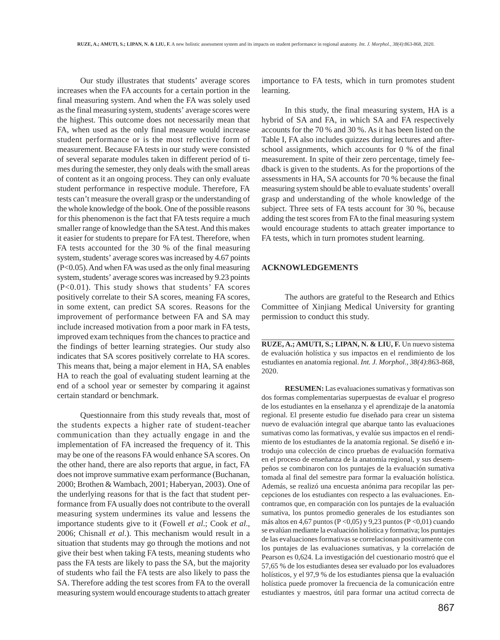Our study illustrates that students' average scores increases when the FA accounts for a certain portion in the final measuring system. And when the FA was solely used as the final measuring system, students' average scores were the highest. This outcome does not necessarily mean that FA, when used as the only final measure would increase student performance or is the most reflective form of measurement. Because FA tests in our study were consisted of several separate modules taken in different period of times during the semester, they only deals with the small areas of content as it an ongoing process. They can only evaluate student performance in respective module. Therefore, FA tests can't measure the overall grasp or the understanding of the whole knowledge of the book. One of the possible reasons for this phenomenon is the fact that FA tests require a much smaller range of knowledge than the SA test. And this makes it easier for students to prepare for FA test. Therefore, when FA tests accounted for the 30 % of the final measuring system, students' average scores was increased by 4.67 points (P<0.05). And when FA was used as the only final measuring system, students' average scores was increased by 9.23 points (P<0.01). This study shows that students' FA scores positively correlate to their SA scores, meaning FA scores, in some extent, can predict SA scores. Reasons for the improvement of performance between FA and SA may include increased motivation from a poor mark in FA tests, improved exam techniques from the chances to practice and the findings of better learning strategies. Our study also indicates that SA scores positively correlate to HA scores. This means that, being a major element in HA, SA enables HA to reach the goal of evaluating student learning at the end of a school year or semester by comparing it against certain standard or benchmark.

Questionnaire from this study reveals that, most of the students expects a higher rate of student-teacher communication than they actually engage in and the implementation of FA increased the frequency of it. This may be one of the reasons FA would enhance SA scores. On the other hand, there are also reports that argue, in fact, FA does not improve summative exam performance (Buchanan, 2000; Brothen & Wambach, 2001; Haberyan, 2003). One of the underlying reasons for that is the fact that student performance from FA usually does not contribute to the overall measuring system undermines its value and lessens the importance students give to it (Fowell *et al*.; Cook *et al*., 2006; Chisnall *et al*.). This mechanism would result in a situation that students may go through the motions and not give their best when taking FA tests, meaning students who pass the FA tests are likely to pass the SA, but the majority of students who fail the FA tests are also likely to pass the SA. Therefore adding the test scores from FA to the overall measuring system would encourage students to attach greater importance to FA tests, which in turn promotes student learning.

In this study, the final measuring system, HA is a hybrid of SA and FA, in which SA and FA respectively accounts for the 70 % and 30 %. As it has been listed on the Table I, FA also includes quizzes during lectures and afterschool assignments, which accounts for 0 % of the final measurement. In spite of their zero percentage, timely feedback is given to the students. As for the proportions of the assessments in HA, SA accounts for 70 % because the final measuring system should be able to evaluate students' overall grasp and understanding of the whole knowledge of the subject. Three sets of FA tests account for 30 %, because adding the test scores from FA to the final measuring system would encourage students to attach greater importance to FA tests, which in turn promotes student learning.

#### **ACKNOWLEDGEMENTS**

The authors are grateful to the Research and Ethics Committee of Xinjiang Medical University for granting permission to conduct this study.

**RUZE, A.; AMUTI, S.; LIPAN, N. & LIU, F.** Un nuevo sistema de evaluación holística y sus impactos en el rendimiento de los estudiantes en anatomía regional. *Int. J. Morphol., 38(4)*:863-868, 2020.

**RESUMEN:** Las evaluaciones sumativas y formativas son dos formas complementarias superpuestas de evaluar el progreso de los estudiantes en la enseñanza y el aprendizaje de la anatomía regional. El presente estudio fue diseñado para crear un sistema nuevo de evaluación integral que abarque tanto las evaluaciones sumativas como las formativas, y evalúe sus impactos en el rendimiento de los estudiantes de la anatomía regional. Se diseñó e introdujo una colección de cinco pruebas de evaluación formativa en el proceso de enseñanza de la anatomía regional, y sus desempeños se combinaron con los puntajes de la evaluación sumativa tomada al final del semestre para formar la evaluación holística. Además, se realizó una encuesta anónima para recopilar las percepciones de los estudiantes con respecto a las evaluaciones. Encontramos que, en comparación con los puntajes de la evaluación sumativa, los puntos promedio generales de los estudiantes son más altos en 4,67 puntos (P <0,05) y 9,23 puntos (P <0,01) cuando se evalúan mediante la evaluación holística y formativa; los puntajes de las evaluaciones formativas se correlacionan positivamente con los puntajes de las evaluaciones sumativas, y la correlación de Pearson es 0,624. La investigación del cuestionario mostró que el 57,65 % de los estudiantes desea ser evaluado por los evaluadores holísticos, y el 97,9 % de los estudiantes piensa que la evaluación holística puede promover la frecuencia de la comunicación entre estudiantes y maestros, útil para formar una actitud correcta de